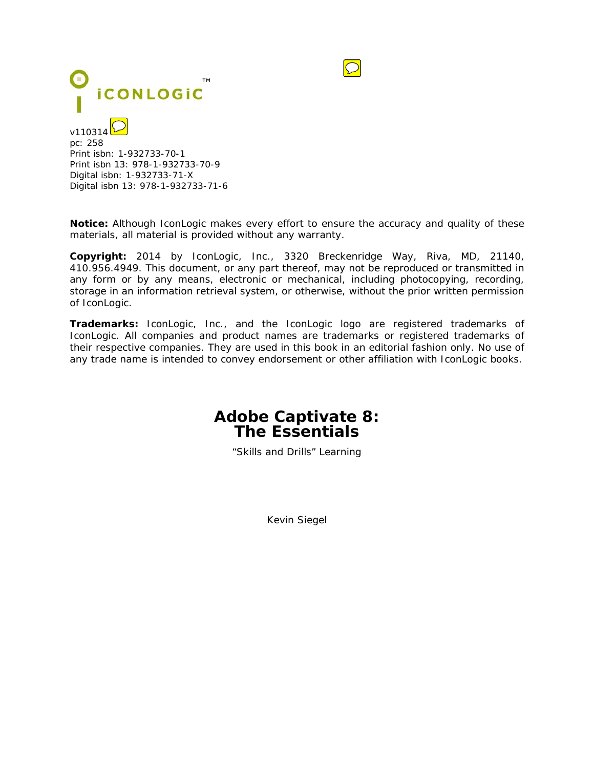



 $v110314$ <sup> $\odot$ </sup> pc: 258 Print isbn: 1-932733-70-1 Print isbn 13: 978-1-932733-70-9 Digital isbn: 1-932733-71-X Digital isbn 13: 978-1-932733-71-6

**Notice:** Although IconLogic makes every effort to ensure the accuracy and quality of these materials, all material is provided without any warranty.

**Copyright:** 2014 by IconLogic, Inc., 3320 Breckenridge Way, Riva, MD, 21140, 410.956.4949. This document, or any part thereof, may not be reproduced or transmitted in any form or by any means, electronic or mechanical, including photocopying, recording, storage in an information retrieval system, or otherwise, without the prior written permission of IconLogic.

**Trademarks:** IconLogic, Inc., and the IconLogic logo are registered trademarks of IconLogic. All companies and product names are trademarks or registered trademarks of their respective companies. They are used in this book in an editorial fashion only. No use of any trade name is intended to convey endorsement or other affiliation with IconLogic books.

# **Adobe Captivate 8: The Essentials**

"Skills and Drills" Learning

Kevin Siegel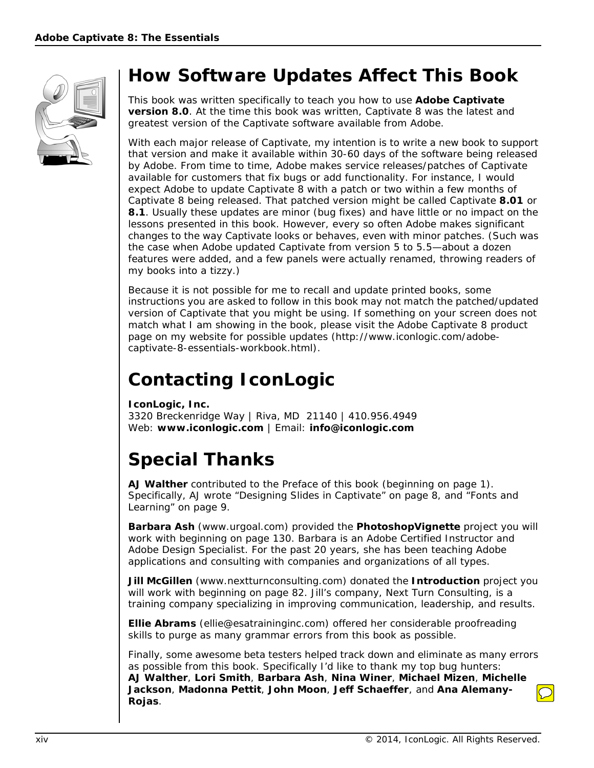

## **How Software Updates Affect This Book**

This book was written specifically to teach you how to use **Adobe Captivate version 8.0**. At the time this book was written, Captivate 8 was the latest and greatest version of the Captivate software available from Adobe.

With each major release of Captivate, my intention is to write a new book to support that version and make it available within 30-60 days of the software being released by Adobe. From time to time, Adobe makes service releases/patches of Captivate available for customers that fix bugs or add functionality. For instance, I would expect Adobe to update Captivate 8 with a patch or two within a few months of Captivate 8 being released. That patched version might be called Captivate **8.01** or **8.1**. Usually these updates are minor (bug fixes) and have little or no impact on the lessons presented in this book. However, every so often Adobe makes significant changes to the way Captivate looks or behaves, even with minor patches. (Such was the case when Adobe updated Captivate from version 5 to 5.5—about a dozen features were added, and a few panels were actually renamed, throwing readers of my books into a tizzy.)

Because it is not possible for me to recall and update printed books, some instructions you are asked to follow in this book may not match the patched/updated version of Captivate that you might be using. If something on your screen does not match what I am showing in the book, please visit the Adobe Captivate 8 product page on my website for possible updates [\(http://www.iconlogic.com/adobe](http://www.iconlogic.com/adobe-captivate-8-essentials-workbook.html)[captivate-8-essentials-workbook.html\).](http://www.iconlogic.com/adobe-captivate-8-essentials-workbook.html)

## **Contacting IconLogic**

#### **IconLogic, Inc.**

3320 Breckenridge Way | Riva, MD 21140 | 410.956.4949 Web: **[www.iconlogic.com](http://www.iconlogic.com)** | Email: **[info@iconlogic.com](mailto:info@iconlogic.com)**

## **Special Thanks**

**AJ Walther** contributed to the Preface of this book (beginning on page 1). Specifically, AJ wrote "Designing Slides in Captivate" on page 8, and "Fonts and Learning" on page 9.

**Barbara Ash** (www.urgoal.com) provided the **PhotoshopVignette** project you will work with beginning on page 130. Barbara is an Adobe Certified Instructor and Adobe Design Specialist. For the past 20 years, she has been teaching Adobe applications and consulting with companies and organizations of all types.

**[Jill McGillen](http://www.nextturnconsulting.com)** (www.nextturnconsulting.com) donated the **Introduction** project you will work with beginning on page 82. Jill's company, Next Turn Consulting, is a training company specializing in improving communication, leadership, and results.

**[Ellie Abrams](mailto:ellie@esatraininginc.com)** (ellie@esatraininginc.com) offered her considerable proofreading skills to purge as many grammar errors from this book as possible.

Finally, some awesome beta testers helped track down and eliminate as many errors as possible from this book. Specifically I'd like to thank my top bug hunters: **AJ Walther**, **Lori Smith**, **Barbara Ash**, **Nina Winer**, **Michael Mizen**, **Michelle Jackson**, **Madonna Pettit**, **John Moon**, **Jeff Schaeffer**, and **Ana Alemany-Rojas**.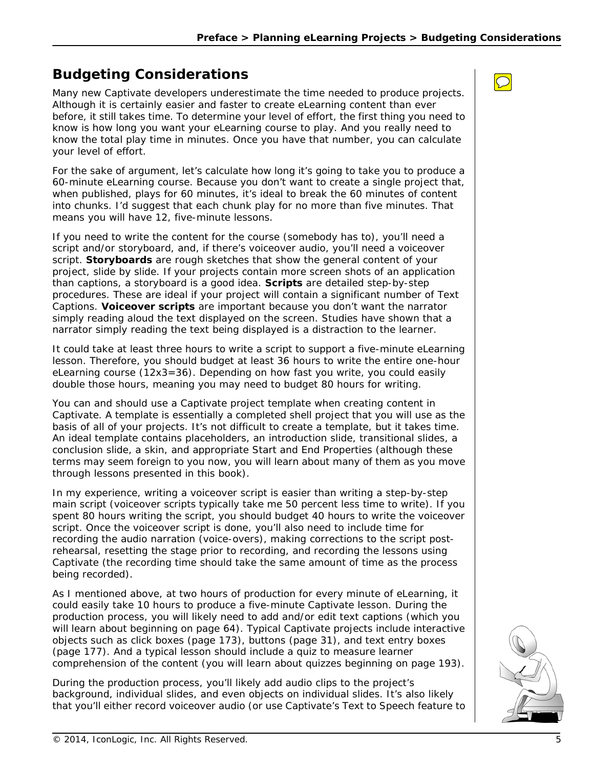#### **Budgeting Considerations**

Many new Captivate developers underestimate the time needed to produce projects. Although it is certainly easier and faster to create eLearning content than ever before, it still takes time. To determine your level of effort, the first thing you need to know is how long you want your eLearning course to play. And you really need to know the total play time in minutes. Once you have that number, you can calculate your level of effort.

For the sake of argument, let's calculate how long it's going to take you to produce a 60-minute eLearning course. Because you don't want to create a single project that, when published, plays for 60 minutes, it's ideal to break the 60 minutes of content into chunks. I'd suggest that each chunk play for no more than five minutes. That means you will have 12, five-minute lessons.

If you need to write the content for the course (somebody has to), you'll need a script and/or storyboard, and, if there's voiceover audio, you'll need a voiceover script. **Storyboards** are rough sketches that show the general content of your project, slide by slide. If your projects contain more screen shots of an application than captions, a storyboard is a good idea. **Scripts** are detailed step-by-step procedures. These are ideal if your project will contain a significant number of Text Captions. **Voiceover scripts** are important because you don't want the narrator simply reading aloud the text displayed on the screen. Studies have shown that a narrator simply reading the text being displayed is a distraction to the learner.

It could take at least three hours to write a script to support a five-minute eLearning lesson. Therefore, you should budget at least 36 hours to write the entire one-hour eLearning course (12x3=36). Depending on how fast you write, you could easily double those hours, meaning you may need to budget 80 hours for writing.

You can and should use a Captivate project template when creating content in Captivate. A template is essentially a completed shell project that you will use as the basis of all of your projects. It's not difficult to create a template, but it takes time. An ideal template contains placeholders, an introduction slide, transitional slides, a conclusion slide, a skin, and appropriate Start and End Properties (although these terms may seem foreign to you now, you will learn about many of them as you move through lessons presented in this book).

In my experience, writing a voiceover script is easier than writing a step-by-step main script (voiceover scripts typically take me 50 percent less time to write). If you spent 80 hours writing the script, you should budget 40 hours to write the voiceover script. Once the voiceover script is done, you'll also need to include time for recording the audio narration (voice-overs), making corrections to the script postrehearsal, resetting the stage prior to recording, and recording the lessons using Captivate (the recording time should take the same amount of time as the process being recorded).

As I mentioned above, at two hours of production for every minute of eLearning, it could easily take 10 hours to produce a five-minute Captivate lesson. During the production process, you will likely need to add and/or edit text captions (which you will learn about beginning on page 64). Typical Captivate projects include interactive objects such as click boxes (page 173), buttons (page 31), and text entry boxes (page 177). And a typical lesson should include a quiz to measure learner comprehension of the content (you will learn about quizzes beginning on page 193).

During the production process, you'll likely add audio clips to the project's background, individual slides, and even objects on individual slides. It's also likely that you'll either record voiceover audio (or use Captivate's Text to Speech feature to

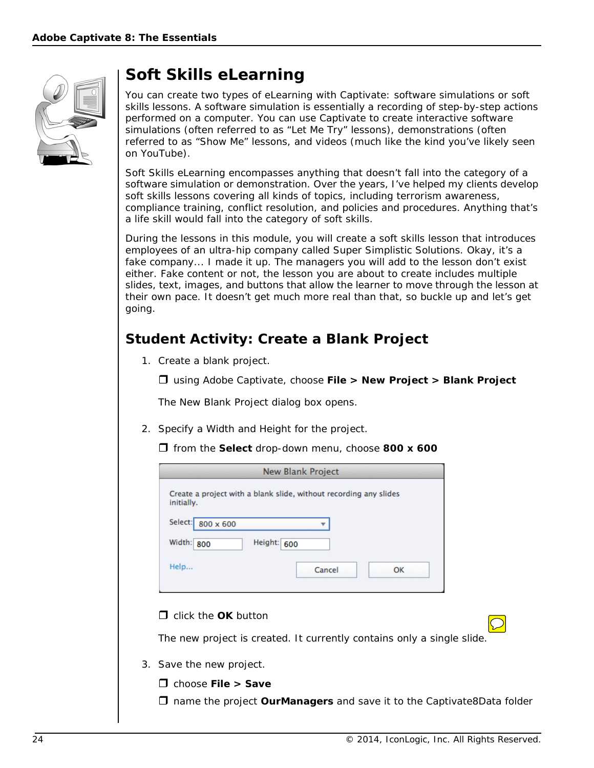

## **Soft Skills eLearning**

You can create two types of eLearning with Captivate: software simulations or soft skills lessons. A software simulation is essentially a recording of step-by-step actions performed on a computer. You can use Captivate to create interactive software simulations (often referred to as "Let Me Try" lessons), demonstrations (often referred to as "Show Me" lessons, and videos (much like the kind you've likely seen on YouTube).

Soft Skills eLearning encompasses anything that doesn't fall into the category of a software simulation or demonstration. Over the years, I've helped my clients develop soft skills lessons covering all kinds of topics, including terrorism awareness, compliance training, conflict resolution, and policies and procedures. Anything that's a life skill would fall into the category of soft skills.

During the lessons in this module, you will create a soft skills lesson that introduces employees of an ultra-hip company called Super Simplistic Solutions. Okay, it's a fake company... I made it up. The managers you will add to the lesson don't exist either. Fake content or not, the lesson you are about to create includes multiple slides, text, images, and buttons that allow the learner to move through the lesson at their own pace. It doesn't get much more real than that, so buckle up and let's get going.

### **Student Activity: Create a Blank Project**

1. Create a blank project.

using Adobe Captivate, choose **File > New Project > Blank Project**

The New Blank Project dialog box opens.

2. Specify a Width and Height for the project.

from the **Select** drop-down menu, choose **800 x 600**

| <b>New Blank Project</b>                                                                                                             |  |
|--------------------------------------------------------------------------------------------------------------------------------------|--|
| Create a project with a blank slide, without recording any slides<br>initially.<br>Select:<br>800 x 600<br>Width: 800<br>Height: 600 |  |
| Help<br>Cancel<br><b>OK</b>                                                                                                          |  |
| click the OK button<br>□<br>The new project is created. It currently contains only a single slide.                                   |  |
| 3. Save the new project.<br>choose $File > Save$                                                                                     |  |

□ name the project **OurManagers** and save it to the Captivate8Data folder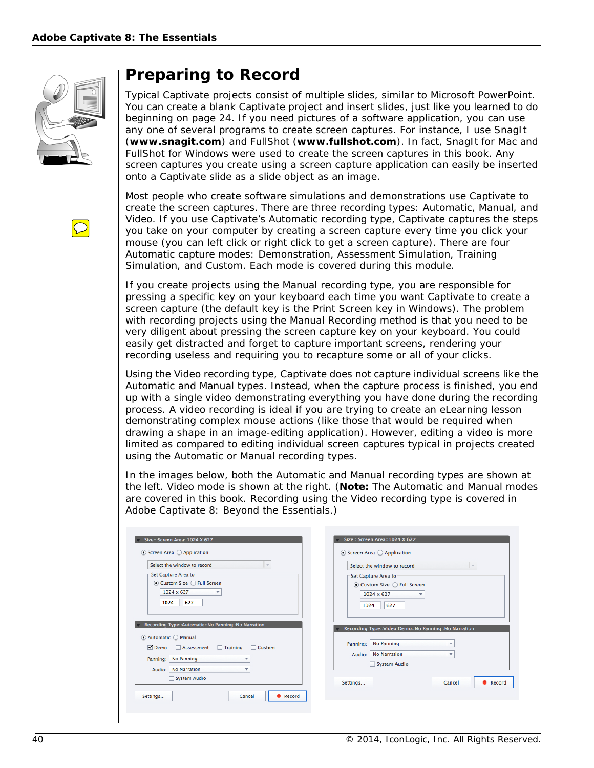

#### **Preparing to Record**

Typical Captivate projects consist of multiple slides, similar to Microsoft PowerPoint. You can create a blank Captivate project and insert slides, just like you learned to do beginning on page 24. If you need pictures of a software application, you can use any one of several programs to create screen captures. For instance, I use SnagIt (**www.snagit.com**) and FullShot (**www.fullshot.com**). In fact, SnagIt for Mac and FullShot for Windows were used to create the screen captures in this book. Any screen captures you create using a screen capture application can easily be inserted onto a Captivate slide as a slide object as an image.

Most people who create software simulations and demonstrations use Captivate to create the screen captures. There are three recording types: Automatic, Manual, and Video. If you use Captivate's Automatic recording type, Captivate captures the steps you take on your computer by creating a screen capture every time you click your mouse (you can left click or right click to get a screen capture). There are four Automatic capture modes: Demonstration, Assessment Simulation, Training Simulation, and Custom. Each mode is covered during this module.

If you create projects using the Manual recording type, you are responsible for pressing a specific key on your keyboard each time you want Captivate to create a screen capture (the default key is the Print Screen key in Windows). The problem with recording projects using the Manual Recording method is that you need to be very diligent about pressing the screen capture key on your keyboard. You could easily get distracted and forget to capture important screens, rendering your recording useless and requiring you to recapture some or all of your clicks.

Using the Video recording type, Captivate does not capture individual screens like the Automatic and Manual types. Instead, when the capture process is finished, you end up with a single video demonstrating everything you have done during the recording process. A video recording is ideal if you are trying to create an eLearning lesson demonstrating complex mouse actions (like those that would be required when drawing a shape in an image-editing application). However, editing a video is more limited as compared to editing individual screen captures typical in projects created using the Automatic or Manual recording types.

In the images below, both the Automatic and Manual recording types are shown at the left. Video mode is shown at the right. (**Note:** The Automatic and Manual modes are covered in this book. Recording using the Video recording type is covered in *Adobe Captivate 8: Beyond the Essentials*.)

|        | Select the window to record                         |
|--------|-----------------------------------------------------|
|        | Set Capture Area to                                 |
|        | ⊙ Custom Size ○ Full Screen                         |
|        | $1024 \times 627$                                   |
|        | 1024<br>627                                         |
|        |                                                     |
|        |                                                     |
|        | Recording Type::Automatic::No Panning::No Narration |
|        | $\odot$ Automatic $\bigcirc$ Manual                 |
|        | V Demo △ Assessment △ Training △ Custom             |
|        |                                                     |
|        | Panning:   No Panning                               |
| Audio: | <b>No Narration</b><br>۰                            |

|          | Select the window to record                             |   | $\overline{\mathbf{v}}$ |  |
|----------|---------------------------------------------------------|---|-------------------------|--|
|          | Set Capture Area to                                     |   |                         |  |
|          | ⊙ Custom Size ○ Full Screen                             |   |                         |  |
|          | $1024 \times 627$                                       |   |                         |  |
| 1024     | 627                                                     |   |                         |  |
|          |                                                         |   |                         |  |
|          |                                                         |   |                         |  |
|          |                                                         |   |                         |  |
|          | Recording Type:: Video Demo:: No Panning:: No Narration |   |                         |  |
| Panning: | No Panning                                              | ₩ |                         |  |
| Audio:   | No Narration                                            | ₩ |                         |  |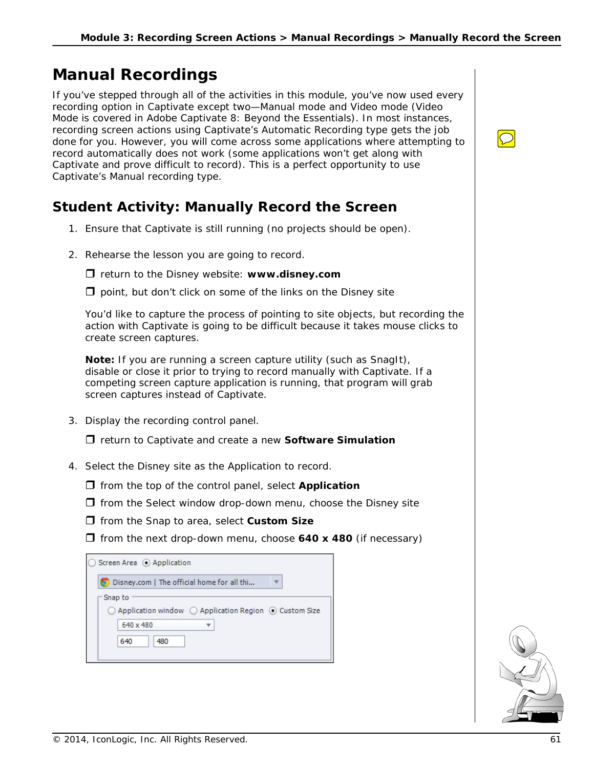### **Manual Recordings**

If you've stepped through all of the activities in this module, you've now used every recording option in Captivate except two—Manual mode and Video mode (Video Mode is covered in *Adobe Captivate 8: Beyond the Essentials*). In most instances, recording screen actions using Captivate's Automatic Recording type gets the job done for you. However, you will come across some applications where attempting to record automatically does not work (some applications won't get along with Captivate and prove difficult to record). This is a perfect opportunity to use Captivate's Manual recording type.

#### **Student Activity: Manually Record the Screen**

- 1. Ensure that Captivate is still running (no projects should be open).
- 2. Rehearse the lesson you are going to record.
	- return to the Disney website: **www.disney.com**
	- $\Box$  point, but don't click on some of the links on the Disney site

You'd like to capture the process of pointing to site objects, but recording the action with Captivate is going to be difficult because it takes mouse clicks to create screen captures.

**Note:** If you are running a screen capture utility (such as SnagIt), disable or close it prior to trying to record manually with Captivate. If a competing screen capture application is running, that program will grab screen captures instead of Captivate.

3. Display the recording control panel.

return to Captivate and create a new **Software Simulation**

- 4. Select the Disney site as the Application to record.
	- $\Box$  from the top of the control panel, select **Application**
	- $\Box$  from the Select window drop-down menu, choose the Disney site
	- $\Box$  from the Snap to area, select **Custom Size**
	- from the next drop-down menu, choose **640 x 480** (if necessary)

| ◯ Screen Area ⓒ Application                                                                                               |  |  |  |  |  |  |
|---------------------------------------------------------------------------------------------------------------------------|--|--|--|--|--|--|
| (b) Disney.com   The official home for all thi                                                                            |  |  |  |  |  |  |
| -Snap to<br>$\bigcirc$ Application window $\bigcirc$ Application Region $\bigcirc$ Custom Size<br>640 x 480<br>640<br>480 |  |  |  |  |  |  |

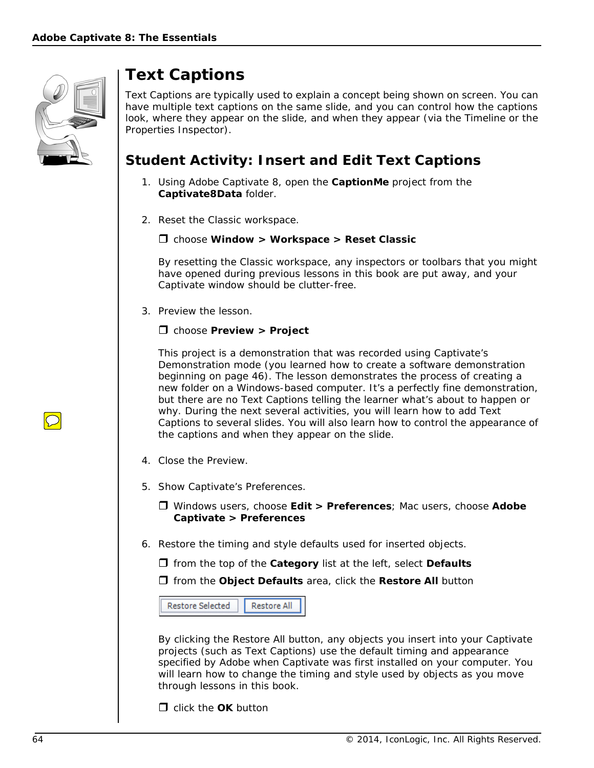

### **Text Captions**

Text Captions are typically used to explain a concept being shown on screen. You can have multiple text captions on the same slide, and you can control how the captions look, where they appear on the slide, and when they appear (via the Timeline or the Properties Inspector).

#### **Student Activity: Insert and Edit Text Captions**

- 1. Using Adobe Captivate 8, open the **CaptionMe** project from the **Captivate8Data** folder.
- 2. Reset the Classic workspace.

#### choose **Window > Workspace > Reset Classic**

By resetting the Classic workspace, any inspectors or toolbars that you might have opened during previous lessons in this book are put away, and your Captivate window should be clutter-free.

3. Preview the lesson.

choose **Preview > Project**

This project is a demonstration that was recorded using Captivate's Demonstration mode (you learned how to create a software demonstration beginning on page 46). The lesson demonstrates the process of creating a new folder on a Windows-based computer. It's a perfectly fine demonstration, but there are no Text Captions telling the learner what's about to happen or why. During the next several activities, you will learn how to add Text Captions to several slides. You will also learn how to control the appearance of the captions and when they appear on the slide.

- 4. Close the Preview.
- 5. Show Captivate's Preferences.

 Windows users, choose **Edit > Preferences**; Mac users, choose **Adobe Captivate > Preferences** 

- 6. Restore the timing and style defaults used for inserted objects.
	- from the top of the **Category** list at the left, select **Defaults**
	- from the **Object Defaults** area, click the **Restore All** button

Restore Selected **Restore All** 

By clicking the Restore All button, any objects you insert into your Captivate projects (such as Text Captions) use the default timing and appearance specified by Adobe when Captivate was first installed on your computer. You will learn how to change the timing and style used by objects as you move through lessons in this book.

**D** click the **OK** button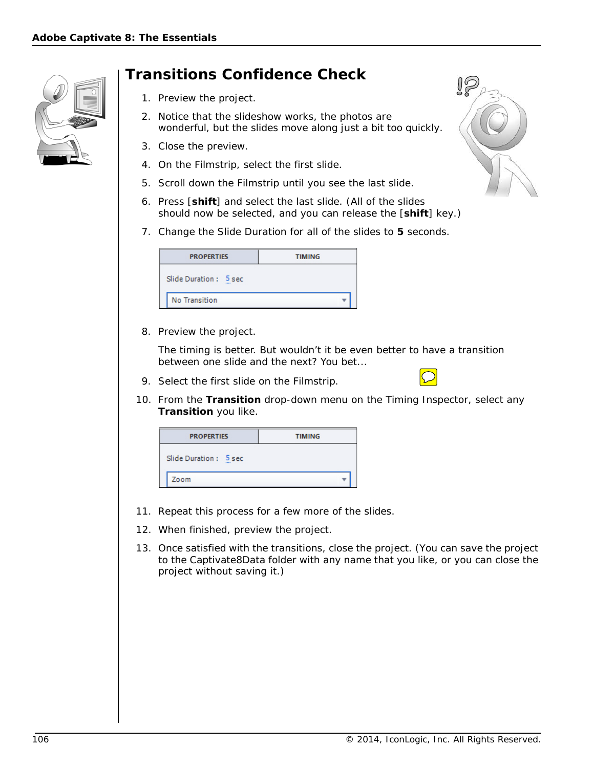

#### **Transitions Confidence Check**

- 1. Preview the project.
- 2. Notice that the slideshow works, the photos are wonderful, but the slides move along just a bit too quickly.
- 3. Close the preview.
- 4. On the Filmstrip, select the first slide.
- 5. Scroll down the Filmstrip until you see the last slide.
- 6. Press [**shift**] and select the last slide. (All of the slides should now be selected, and you can release the [**shift**] key.)
- 7. Change the Slide Duration for all of the slides to **5** seconds.

| <b>PROPERTIES</b>             | <b>TIMING</b> |
|-------------------------------|---------------|
| Slide Duration: 5 sec<br>---- |               |
| No Transition                 |               |

8. Preview the project.

The timing is better. But wouldn't it be even better to have a transition between one slide and the next? You bet...

- 9. Select the first slide on the Filmstrip.
- 10. From the **Transition** drop-down menu on the Timing Inspector, select any **Transition** you like.

| <b>PROPERTIES</b>     | <b>TIMING</b> |
|-----------------------|---------------|
| Slide Duration: 5 sec |               |
| Zoom                  |               |

- 11. Repeat this process for a few more of the slides.
- 12. When finished, preview the project.
- 13. Once satisfied with the transitions, close the project. (You can save the project to the Captivate8Data folder with any name that you like, or you can close the project without saving it.)

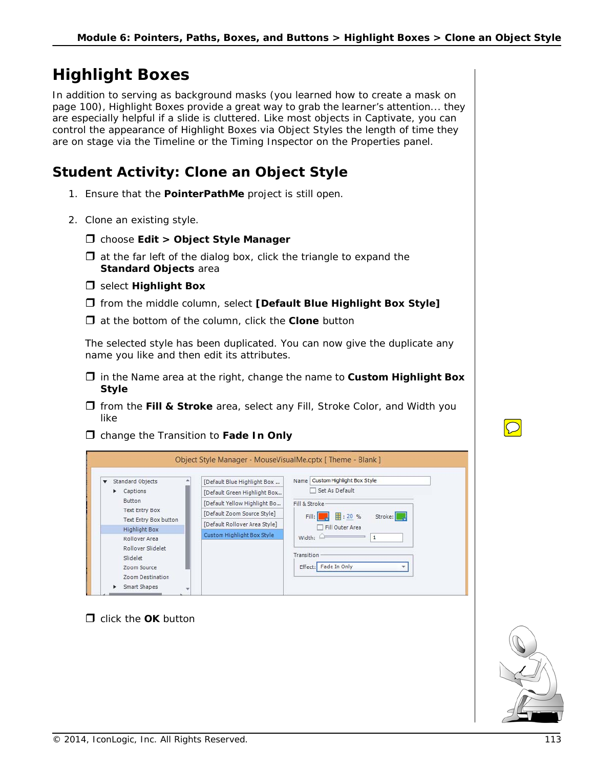## **Highlight Boxes**

In addition to serving as background masks (you learned how to create a mask on page 100), Highlight Boxes provide a great way to grab the learner's attention... they are especially helpful if a slide is cluttered. Like most objects in Captivate, you can control the appearance of Highlight Boxes via Object Styles the length of time they are on stage via the Timeline or the Timing Inspector on the Properties panel.

#### **Student Activity: Clone an Object Style**

- 1. Ensure that the **PointerPathMe** project is still open.
- 2. Clone an existing style.
	- choose **Edit > Object Style Manager**
	- $\Box$  at the far left of the dialog box, click the triangle to expand the **Standard Objects** area
	- select **Highlight Box**
	- from the middle column, select **[Default Blue Highlight Box Style]**
	- at the bottom of the column, click the **Clone** button

The selected style has been duplicated. You can now give the duplicate any name you like and then edit its attributes.

- □ in the Name area at the right, change the name to **Custom Highlight Box Style**
- from the **Fill & Stroke** area, select any Fill, Stroke Color, and Width you like
- change the Transition to **Fade In Only**



**D** click the **OK** button

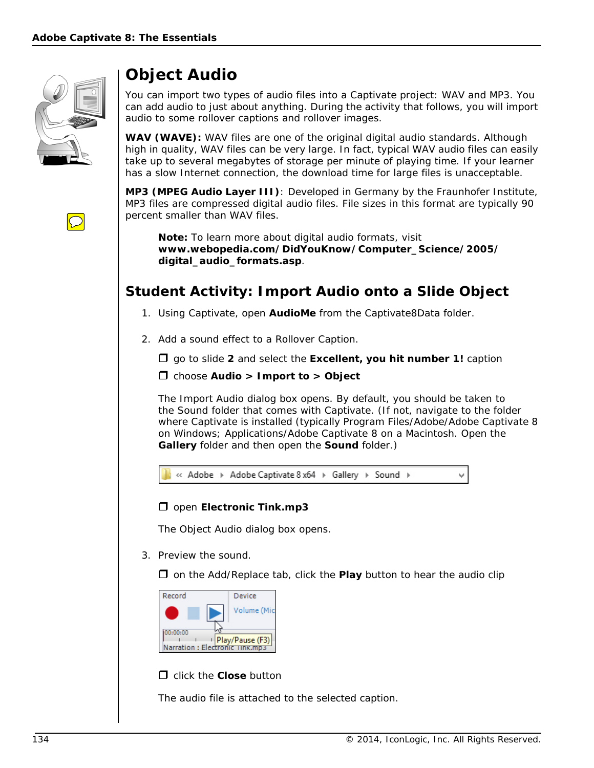

### **Object Audio**

You can import two types of audio files into a Captivate project: WAV and MP3. You can add audio to just about anything. During the activity that follows, you will import audio to some rollover captions and rollover images.

**WAV (WAVE):** WAV files are one of the original digital audio standards. Although high in quality, WAV files can be very large. In fact, typical WAV audio files can easily take up to *several megabytes of storage per minute* of playing time. If your learner has a slow Internet connection, the download time for large files is unacceptable.

**MP3 (MPEG Audio Layer III)**: Developed in Germany by the Fraunhofer Institute, MP3 files are compressed digital audio files. File sizes in this format are typically 90 percent smaller than WAV files.

**Note:** To learn more about digital audio formats, visit **[www.webopedia.com/DidYouKnow/Computer\\_Science/2005/](http://www.webopedia.com/DidYouKnow/Computer_Science/2005/digital_audio_formats.asp) [digital\\_audio\\_formats.asp](http://www.webopedia.com/DidYouKnow/Computer_Science/2005/digital_audio_formats.asp)**.

#### **Student Activity: Import Audio onto a Slide Object**

- 1. Using Captivate, open **AudioMe** from the Captivate8Data folder.
- 2. Add a sound effect to a Rollover Caption.

go to slide **2** and select the **Excellent, you hit number 1!** caption

choose **Audio > Import to > Object**

The Import Audio dialog box opens. By default, you should be taken to the Sound folder that comes with Captivate. (If not, navigate to the folder where Captivate is installed (typically Program Files/Adobe/Adobe Captivate 8 on Windows; Applications/Adobe Captivate 8 on a Macintosh. Open the **Gallery** folder and then open the **Sound** folder.)

« Adobe » Adobe Captivate 8 x64 » Gallery » Sound »

#### open **Electronic Tink.mp3**

The Object Audio dialog box opens.

3. Preview the sound.

□ on the Add/Replace tab, click the **Play** button to hear the audio clip



click the **Close** button

The audio file is attached to the selected caption.

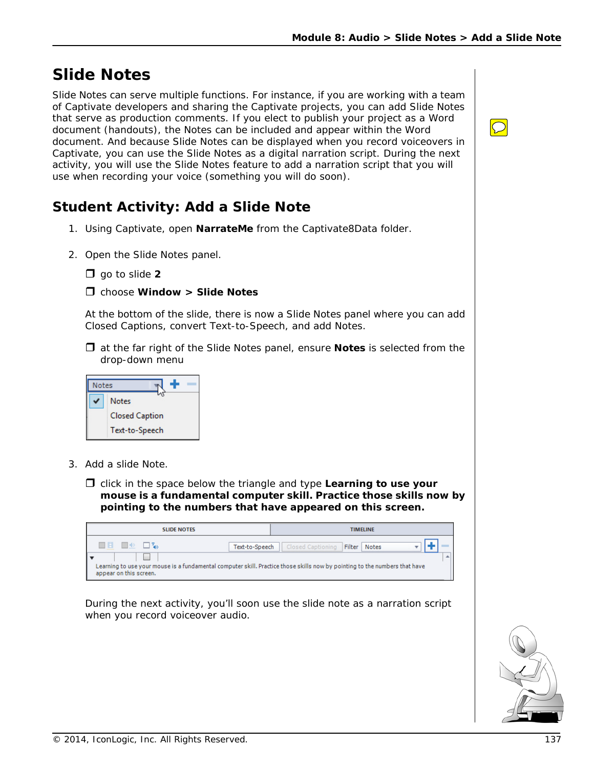### **Slide Notes**

Slide Notes can serve multiple functions. For instance, if you are working with a team of Captivate developers and sharing the Captivate projects, you can add Slide Notes that serve as production comments. If you elect to publish your project as a Word document (handouts), the Notes can be included and appear within the Word document. And because Slide Notes can be displayed when you record voiceovers in Captivate, you can use the Slide Notes as a digital narration script. During the next activity, you will use the Slide Notes feature to add a narration script that you will use when recording your voice (something you will do soon).

#### **Student Activity: Add a Slide Note**

- 1. Using Captivate, open **NarrateMe** from the Captivate8Data folder.
- 2. Open the Slide Notes panel.
	- □ go to slide 2
	- choose **Window > Slide Notes**

At the bottom of the slide, there is now a Slide Notes panel where you can add Closed Captions, convert Text-to-Speech, and add Notes.

 at the far right of the Slide Notes panel, ensure **Notes** is selected from the drop-down menu



- 3. Add a slide Note.
	- □ click in the space below the triangle and type **Learning to use your mouse is a fundamental computer skill. Practice those skills now by pointing to the numbers that have appeared on this screen.**

| <b>SLIDE NOTES</b>                                                                                                                                   | <b>TIMELINE</b>                  |  |  |  |
|------------------------------------------------------------------------------------------------------------------------------------------------------|----------------------------------|--|--|--|
| $\Box$ be $\Box$ to $\Box$ to $\Box$ to $\Box$<br>Text-to-Speech                                                                                     | Closed Captioning Filter   Notes |  |  |  |
|                                                                                                                                                      |                                  |  |  |  |
| Learning to use your mouse is a fundamental computer skill. Practice those skills now by pointing to the numbers that have<br>appear on this screen. |                                  |  |  |  |

During the next activity, you'll soon use the slide note as a narration script when you record voiceover audio.

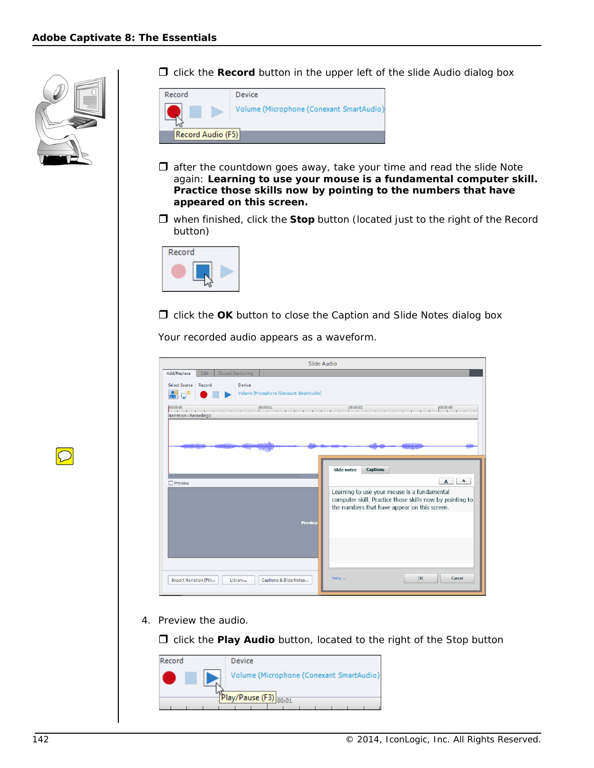

 $\Box$  click the **Record** button in the upper left of the slide Audio dialog box



- $\Box$  after the countdown goes away, take your time and read the slide Note again: **Learning to use your mouse is a fundamental computer skill. Practice those skills now by pointing to the numbers that have appeared on this screen.**
- when finished, click the **Stop** button (located just to the right of the Record button)



**T** click the OK button to close the Caption and Slide Notes dialog box

Your recorded audio appears as a waveform.

|                                                                |        |                                 |           |                                                                                                                 | Slide Audio |                                |                                                                                                                                                              |   |
|----------------------------------------------------------------|--------|---------------------------------|-----------|-----------------------------------------------------------------------------------------------------------------|-------------|--------------------------------|--------------------------------------------------------------------------------------------------------------------------------------------------------------|---|
| Add/Replace                                                    | Edit   | Closed Captioning               |           |                                                                                                                 |             |                                |                                                                                                                                                              |   |
| <b>Select Source</b>                                           | Record | Device                          |           | Volume (Microphone (Conexant SmartAudio)                                                                        |             |                                |                                                                                                                                                              |   |
| 00:00:00<br>the contract of the con-<br>Narration : Recording1 |        | the contract of the contract of | 100:00:01 | the property of the contract of the contract of the contract of the contract of the contract of the contract of |             | 100:00:02                      | $\begin{bmatrix} 00:00:03 \\ 1 & 1 \end{bmatrix}$<br>the company of the company of the company of the company of the company of the company of               |   |
|                                                                |        |                                 |           |                                                                                                                 |             |                                |                                                                                                                                                              |   |
|                                                                |        | <b>Contract Communication</b>   |           | distin                                                                                                          |             |                                |                                                                                                                                                              |   |
|                                                                |        |                                 |           |                                                                                                                 |             | <b>Captions</b><br>Slide notes |                                                                                                                                                              |   |
| $\sqcap$ Preview                                               |        |                                 |           |                                                                                                                 |             |                                | A<br>Learning to use your mouse is a fundamental<br>computer skill. Practice those skills now by pointing to<br>the numbers that have appear on this screen. | A |
|                                                                |        |                                 |           | <b>Preview</b>                                                                                                  |             |                                |                                                                                                                                                              |   |
|                                                                |        |                                 |           |                                                                                                                 |             |                                |                                                                                                                                                              |   |
|                                                                |        |                                 |           |                                                                                                                 |             | Help                           | Cancel<br>OK                                                                                                                                                 |   |

4. Preview the audio.

**I** click the **Play Audio** button, located to the right of the Stop button

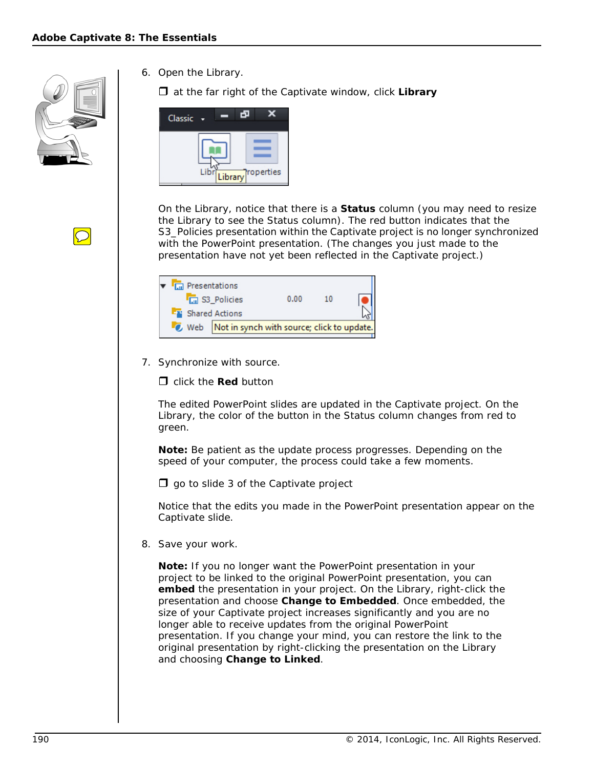

6. Open the Library.

at the far right of the Captivate window, click **Library**



On the Library, notice that there is a **Status** column (you may need to resize the Library to see the Status column). The red button indicates that the S3\_Policies presentation within the Captivate project is no longer synchronized with the PowerPoint presentation. (The changes you just made to the presentation have not yet been reflected in the Captivate project.)



7. Synchronize with source.

**D** click the **Red** button

The edited PowerPoint slides are updated in the Captivate project. On the Library, the color of the button in the Status column changes from red to green.

**Note:** Be patient as the update process progresses. Depending on the speed of your computer, the process could take a few moments.

 $\Box$  go to slide 3 of the Captivate project

Notice that the edits you made in the PowerPoint presentation appear on the Captivate slide.

8. Save your work.

**Note:** If you no longer want the PowerPoint presentation in your project to be linked to the original PowerPoint presentation, you can **embed** the presentation in your project. On the Library, right-click the presentation and choose **Change to Embedded**. Once embedded, the size of your Captivate project increases significantly and you are no longer able to receive updates from the original PowerPoint presentation. If you change your mind, you can restore the link to the original presentation by right-clicking the presentation on the Library and choosing **Change to Linked**.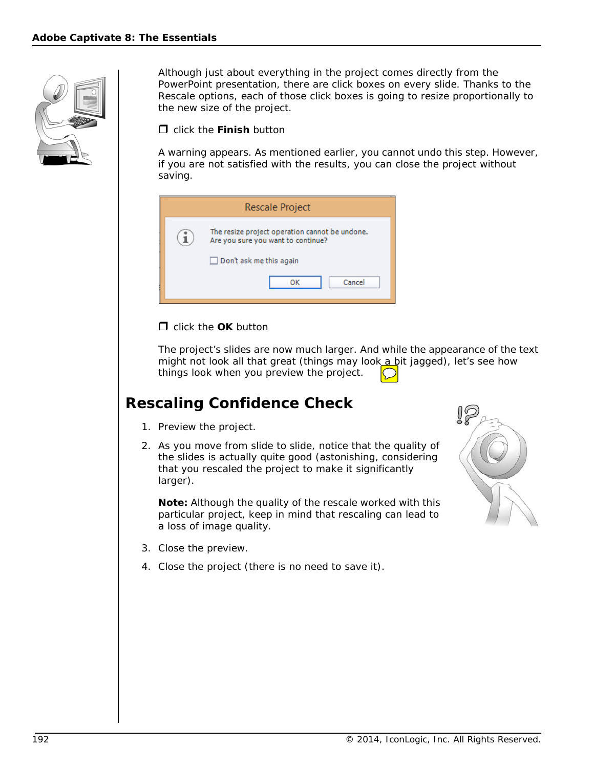

Although just about everything in the project comes directly from the PowerPoint presentation, there are click boxes on every slide. Thanks to the Rescale options, each of those click boxes is going to resize proportionally to the new size of the project.

#### click the **Finish** button

A warning appears. As mentioned earlier, you cannot undo this step. However, if you are not satisfied with the results, you can close the project without saving.

| Rescale Project |                                                                                      |  |  |  |  |  |
|-----------------|--------------------------------------------------------------------------------------|--|--|--|--|--|
|                 | The resize project operation cannot be undone.<br>Are you sure you want to continue? |  |  |  |  |  |
|                 | Don't ask me this again                                                              |  |  |  |  |  |
|                 | Cancel<br>ΩK                                                                         |  |  |  |  |  |

#### **D** click the **OK** button

The project's slides are now much larger. And while the appearance of the text might not look all that great (things may look a bit jagged), let's see how things look when you preview the project.

### **Rescaling Confidence Check**

- 1. Preview the project.
- 2. As you move from slide to slide, notice that the quality of the slides is actually quite good (astonishing, considering that you rescaled the project to make it significantly larger).

**Note:** Although the quality of the rescale worked with this particular project, keep in mind that rescaling can lead to a loss of image quality.

- 3. Close the preview.
- 4. Close the project (there is no need to save it).